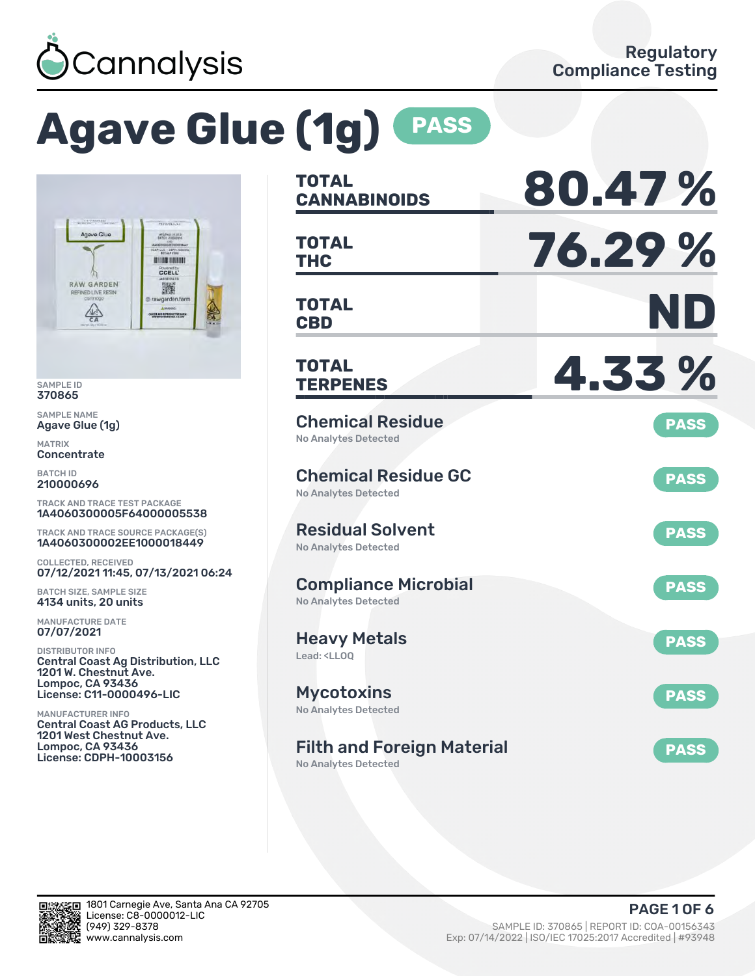

# **Agave Glue (1g) PASS**



SAMPLE ID 370865

SAMPLE NAME Agave Glue (1g)

MATRIX **Concentrate** 

BATCH ID 210000696

TRACK AND TRACE TEST PACKAGE 1A4060300005F64000005538

TRACK AND TRACE SOURCE PACKAGE(S) 1A4060300002EE1000018449

COLLECTED, RECEIVED 07/12/2021 11:45, 07/13/2021 06:24

BATCH SIZE, SAMPLE SIZE 4134 units, 20 units

MANUFACTURE DATE 07/07/2021

DISTRIBUTOR INFO Central Coast Ag Distribution, LLC 1201 W. Chestnut Ave. Lompoc, CA 93436 License: C11-0000496-LIC

MANUFACTURER INFO Central Coast AG Products, LLC 1201 West Chestnut Ave. Lompoc, CA 93436 License: CDPH-10003156

| <b>TOTAL</b><br><b>CANNABINOIDS</b>                                    | 80.47%      |
|------------------------------------------------------------------------|-------------|
| <b>TOTAL</b><br><b>THC</b>                                             | 76.29 %     |
| <b>TOTAL</b><br><b>CBD</b>                                             | ND          |
| TOTAL<br><b>TERPENES</b>                                               | 4.33%       |
| <b>Chemical Residue</b><br><b>No Analytes Detected</b>                 | <b>PASS</b> |
| <b>Chemical Residue GC</b><br><b>No Analytes Detected</b>              | <b>PASS</b> |
| <b>Residual Solvent</b><br><b>No Analytes Detected</b>                 | <b>PASS</b> |
| <b>Compliance Microbial</b><br><b>No Analytes Detected</b>             | <b>PASS</b> |
| <b>Heavy Metals</b><br>Lead: <ll00< td=""><td><b>PASS</b></td></ll00<> | <b>PASS</b> |
| <b>Mycotoxins</b><br>No Analytes Detected                              | <b>PASS</b> |
| <b>Filth and Foreign Material</b><br>No Analytes Detected              | <b>PASS</b> |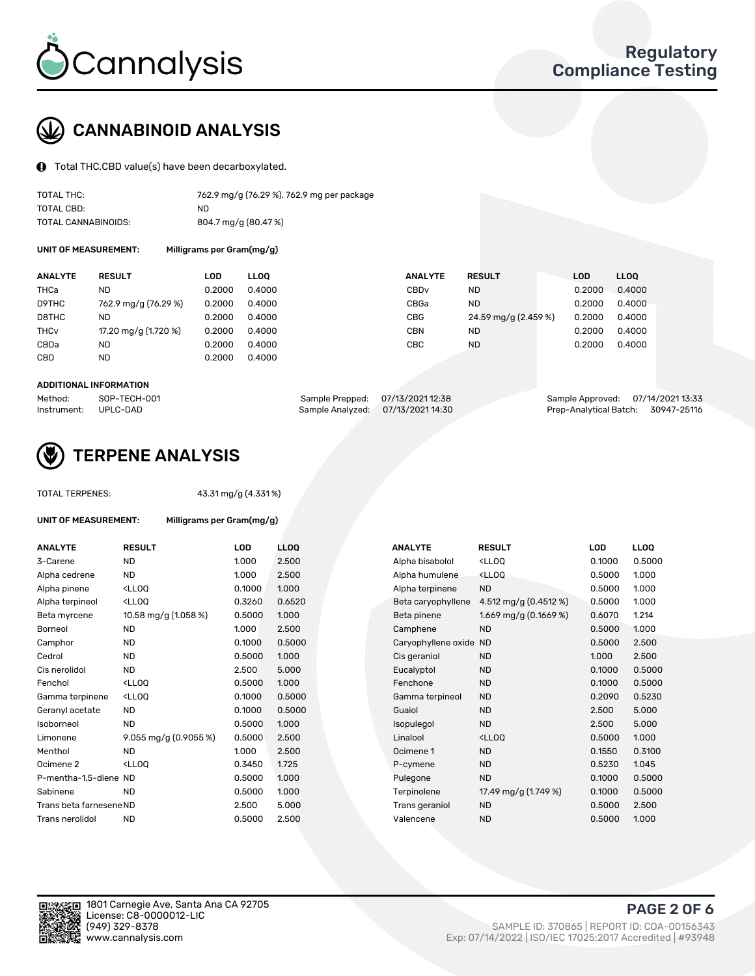

# CANNABINOID ANALYSIS

Total THC,CBD value(s) have been decarboxylated.

| TOTAL THC:          | 762.9 mg/g (76.29 %), 762.9 mg per package |
|---------------------|--------------------------------------------|
| TOTAL CBD:          | ND.                                        |
| TOTAL CANNABINOIDS: | 804.7 mg/g (80.47 %)                       |

UNIT OF MEASUREMENT: Milligrams per Gram(mg/g)

| <b>ANALYTE</b>         | <b>RESULT</b>        | LOD    | <b>LLOO</b> | <b>ANALYTE</b> | <b>RESULT</b>        | <b>LOD</b> | <b>LLOO</b> |
|------------------------|----------------------|--------|-------------|----------------|----------------------|------------|-------------|
| THCa                   | ND                   | 0.2000 | 0.4000      | CBDv           | ND                   | 0.2000     | 0.4000      |
| D9THC                  | 762.9 mg/g (76.29 %) | 0.2000 | 0.4000      | CBGa           | <b>ND</b>            | 0.2000     | 0.4000      |
| D8THC                  | ND                   | 0.2000 | 0.4000      | CBG            | 24.59 mg/g (2.459 %) | 0.2000     | 0.4000      |
| <b>THC<sub>v</sub></b> | 17.20 mg/g (1.720 %) | 0.2000 | 0.4000      | CBN            | ND                   | 0.2000     | 0.4000      |
| CBDa                   | <b>ND</b>            | 0.2000 | 0.4000      | CBC            | ND                   | 0.2000     | 0.4000      |
| CBD                    | <b>ND</b>            | 0.2000 | 0.4000      |                |                      |            |             |
|                        |                      |        |             |                |                      |            |             |

#### ADDITIONAL INFORMATION

| Method:              | SOP-TECH-001 | Sample Prepped: 07/13/2021 12:38 |                                   | Sample Approved: 07/14/2021 13:33  |  |
|----------------------|--------------|----------------------------------|-----------------------------------|------------------------------------|--|
| Instrument: UPLC-DAD |              |                                  | Sample Analyzed: 07/13/2021 14:30 | Prep-Analytical Batch: 30947-25116 |  |



## TERPENE ANALYSIS

TOTAL TERPENES: 43.31 mg/g (4.331 %)

| UNIT OF MEASUREMENT:    | Milligrams per Gram(mg/g)                          |            |             |
|-------------------------|----------------------------------------------------|------------|-------------|
| <b>ANALYTE</b>          | <b>RESULT</b>                                      | <b>LOD</b> | <b>LLOO</b> |
| 3-Carene                | ND                                                 | 1.000      | 2.500       |
| Alpha cedrene           | ND.                                                | 1.000      | 2.500       |
| Alpha pinene            | <lloq< td=""><td>0.1000</td><td>1.000</td></lloq<> | 0.1000     | 1.000       |
| Alpha terpineol         | <lloo< td=""><td>0.3260</td><td>0.652</td></lloo<> | 0.3260     | 0.652       |
| Beta myrcene            | 10.58 mg/g (1.058 %)                               | 0.5000     | 1.000       |
| Borneol                 | <b>ND</b>                                          | 1.000      | 2.500       |
| Camphor                 | <b>ND</b>                                          | 0.1000     | 0.500       |
| Cedrol                  | <b>ND</b>                                          | 0.5000     | 1.000       |
| Cis nerolidol           | ND.                                                | 2.500      | 5.000       |
| Fenchol                 | <lloo< td=""><td>0.5000</td><td>1.000</td></lloo<> | 0.5000     | 1.000       |
| Gamma terpinene         | <lloo< td=""><td>0.1000</td><td>0.500</td></lloo<> | 0.1000     | 0.500       |
| Geranyl acetate         | <b>ND</b>                                          | 0.1000     | 0.500       |
| Isoborneol              | <b>ND</b>                                          | 0.5000     | 1.000       |
| Limonene                | 9.055 mg/g $(0.9055\%)$                            | 0.5000     | 2.500       |
| Menthol                 | ND.                                                | 1.000      | 2.500       |
| Ocimene <sub>2</sub>    | <lloo< td=""><td>0.3450</td><td>1.725</td></lloo<> | 0.3450     | 1.725       |
| P-mentha-1,5-diene ND   |                                                    | 0.5000     | 1.000       |
| Sabinene                | ND                                                 | 0.5000     | 1.000       |
| Trans beta farnesene ND |                                                    | 2.500      | 5.000       |
| Trans nerolidol         | ND                                                 | 0.5000     | 2.500       |

| <b>ANALYTE</b>          | <b>RESULT</b>                                                                                                                             | <b>LOD</b> | <b>LLOO</b> | <b>ANALYTE</b>      | <b>RESULT</b>                                       | <b>LOD</b> | LL <sub>OO</sub> |
|-------------------------|-------------------------------------------------------------------------------------------------------------------------------------------|------------|-------------|---------------------|-----------------------------------------------------|------------|------------------|
| 3-Carene                | <b>ND</b>                                                                                                                                 | 1.000      | 2.500       | Alpha bisabolol     | <lloq< td=""><td>0.1000</td><td>0.5000</td></lloq<> | 0.1000     | 0.5000           |
| Alpha cedrene           | <b>ND</b>                                                                                                                                 | 1.000      | 2.500       | Alpha humulene      | <lloq< td=""><td>0.5000</td><td>1.000</td></lloq<>  | 0.5000     | 1.000            |
| Alpha pinene            | <lloq< td=""><td>0.1000</td><td>1.000</td><td>Alpha terpinene</td><td><b>ND</b></td><td>0.5000</td><td>1.000</td></lloq<>                 | 0.1000     | 1.000       | Alpha terpinene     | <b>ND</b>                                           | 0.5000     | 1.000            |
| Alpha terpineol         | <lloq< td=""><td>0.3260</td><td>0.6520</td><td>Beta caryophyllene</td><td>4.512 mg/g (0.4512 %)</td><td>0.5000</td><td>1.000</td></lloq<> | 0.3260     | 0.6520      | Beta caryophyllene  | 4.512 mg/g (0.4512 %)                               | 0.5000     | 1.000            |
| Beta myrcene            | 10.58 mg/g (1.058 %)                                                                                                                      | 0.5000     | 1.000       | Beta pinene         | 1.669 mg/g $(0.1669\%)$                             | 0.6070     | 1.214            |
| Borneol                 | <b>ND</b>                                                                                                                                 | 1.000      | 2.500       | Camphene            | <b>ND</b>                                           | 0.5000     | 1.000            |
| Camphor                 | <b>ND</b>                                                                                                                                 | 0.1000     | 0.5000      | Caryophyllene oxide | <b>ND</b>                                           | 0.5000     | 2.500            |
| Cedrol                  | <b>ND</b>                                                                                                                                 | 0.5000     | 1.000       | Cis geraniol        | <b>ND</b>                                           | 1.000      | 2.500            |
| Cis nerolidol           | <b>ND</b>                                                                                                                                 | 2.500      | 5.000       | Eucalyptol          | <b>ND</b>                                           | 0.1000     | 0.5000           |
| Fenchol                 | <lloq< td=""><td>0.5000</td><td>1.000</td><td>Fenchone</td><td><b>ND</b></td><td>0.1000</td><td>0.5000</td></lloq<>                       | 0.5000     | 1.000       | Fenchone            | <b>ND</b>                                           | 0.1000     | 0.5000           |
| Gamma terpinene         | <ll0q< td=""><td>0.1000</td><td>0.5000</td><td>Gamma terpineol</td><td><b>ND</b></td><td>0.2090</td><td>0.5230</td></ll0q<>               | 0.1000     | 0.5000      | Gamma terpineol     | <b>ND</b>                                           | 0.2090     | 0.5230           |
| Geranyl acetate         | ND.                                                                                                                                       | 0.1000     | 0.5000      | Guaiol              | <b>ND</b>                                           | 2.500      | 5.000            |
| Isoborneol              | <b>ND</b>                                                                                                                                 | 0.5000     | 1.000       | Isopulegol          | <b>ND</b>                                           | 2.500      | 5.000            |
| Limonene                | 9.055 mg/g (0.9055 %)                                                                                                                     | 0.5000     | 2.500       | Linalool            | <ll0q< td=""><td>0.5000</td><td>1.000</td></ll0q<>  | 0.5000     | 1.000            |
| Menthol                 | <b>ND</b>                                                                                                                                 | 1.000      | 2.500       | Ocimene 1           | <b>ND</b>                                           | 0.1550     | 0.3100           |
| Ocimene 2               | <ll0q< td=""><td>0.3450</td><td>1.725</td><td>P-cymene</td><td><b>ND</b></td><td>0.5230</td><td>1.045</td></ll0q<>                        | 0.3450     | 1.725       | P-cymene            | <b>ND</b>                                           | 0.5230     | 1.045            |
| P-mentha-1,5-diene ND   |                                                                                                                                           | 0.5000     | 1.000       | Pulegone            | <b>ND</b>                                           | 0.1000     | 0.5000           |
| Sabinene                | <b>ND</b>                                                                                                                                 | 0.5000     | 1.000       | Terpinolene         | 17.49 mg/g (1.749 %)                                | 0.1000     | 0.5000           |
| Trans beta farnesene ND |                                                                                                                                           | 2.500      | 5.000       | Trans geraniol      | <b>ND</b>                                           | 0.5000     | 2.500            |
| Trans nerolidol         | <b>ND</b>                                                                                                                                 | 0.5000     | 2.500       | Valencene           | <b>ND</b>                                           | 0.5000     | 1.000            |
|                         |                                                                                                                                           |            |             |                     |                                                     |            |                  |

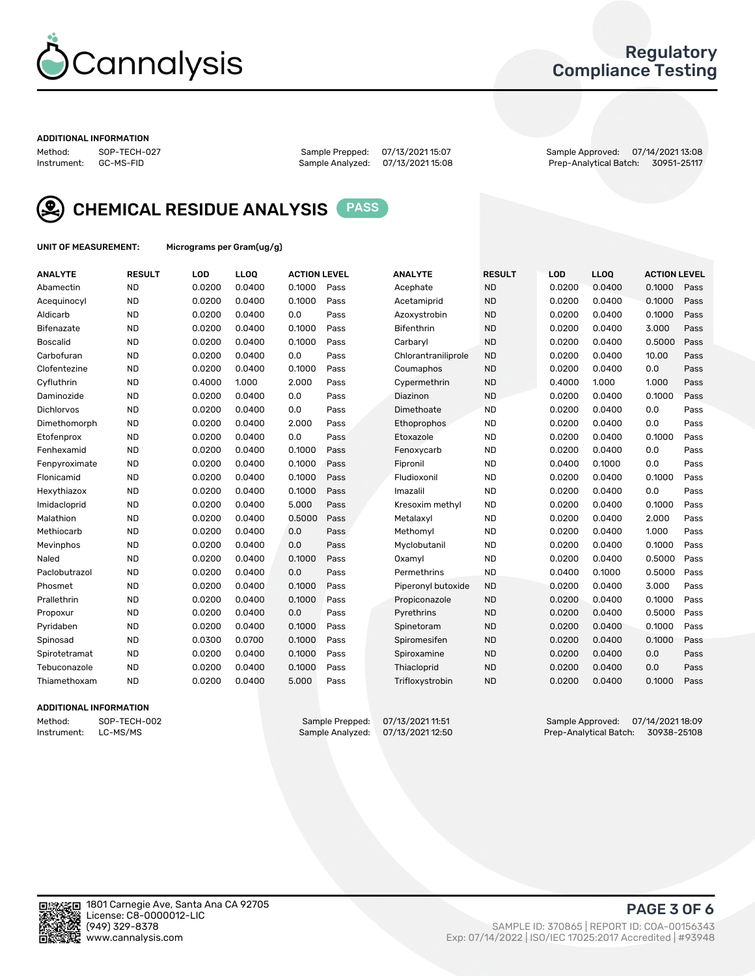

## Regulatory Compliance Testing

#### ADDITIONAL INFORMATION

Sample Analyzed: 07/13/2021 15:08

Method: SOP-TECH-027 Sample Prepped: 07/13/2021 15:07 Sample Approved: 07/14/2021 13:08



CHEMICAL RESIDUE ANALYSIS PASS

UNIT OF MEASUREMENT: Micrograms per Gram(ug/g)

| <b>ANALYTE</b>    | <b>RESULT</b> | LOD    | LLOQ   | <b>ACTION LEVEL</b> |      | <b>ANALYTE</b>      | <b>RESULT</b> | LOD    | <b>LLOQ</b> | <b>ACTION LEVEL</b> |      |
|-------------------|---------------|--------|--------|---------------------|------|---------------------|---------------|--------|-------------|---------------------|------|
| Abamectin         | <b>ND</b>     | 0.0200 | 0.0400 | 0.1000              | Pass | Acephate            | <b>ND</b>     | 0.0200 | 0.0400      | 0.1000              | Pass |
| Acequinocyl       | <b>ND</b>     | 0.0200 | 0.0400 | 0.1000              | Pass | Acetamiprid         | <b>ND</b>     | 0.0200 | 0.0400      | 0.1000              | Pass |
| Aldicarb          | <b>ND</b>     | 0.0200 | 0.0400 | 0.0                 | Pass | Azoxystrobin        | <b>ND</b>     | 0.0200 | 0.0400      | 0.1000              | Pass |
| Bifenazate        | <b>ND</b>     | 0.0200 | 0.0400 | 0.1000              | Pass | <b>Bifenthrin</b>   | <b>ND</b>     | 0.0200 | 0.0400      | 3.000               | Pass |
| <b>Boscalid</b>   | <b>ND</b>     | 0.0200 | 0.0400 | 0.1000              | Pass | Carbaryl            | <b>ND</b>     | 0.0200 | 0.0400      | 0.5000              | Pass |
| Carbofuran        | <b>ND</b>     | 0.0200 | 0.0400 | 0.0                 | Pass | Chlorantraniliprole | <b>ND</b>     | 0.0200 | 0.0400      | 10.00               | Pass |
| Clofentezine      | <b>ND</b>     | 0.0200 | 0.0400 | 0.1000              | Pass | Coumaphos           | <b>ND</b>     | 0.0200 | 0.0400      | 0.0                 | Pass |
| Cyfluthrin        | <b>ND</b>     | 0.4000 | 1.000  | 2.000               | Pass | Cypermethrin        | <b>ND</b>     | 0.4000 | 1.000       | 1.000               | Pass |
| Daminozide        | <b>ND</b>     | 0.0200 | 0.0400 | 0.0                 | Pass | Diazinon            | <b>ND</b>     | 0.0200 | 0.0400      | 0.1000              | Pass |
| <b>Dichlorvos</b> | <b>ND</b>     | 0.0200 | 0.0400 | 0.0                 | Pass | Dimethoate          | <b>ND</b>     | 0.0200 | 0.0400      | 0.0                 | Pass |
| Dimethomorph      | <b>ND</b>     | 0.0200 | 0.0400 | 2.000               | Pass | <b>Ethoprophos</b>  | <b>ND</b>     | 0.0200 | 0.0400      | 0.0                 | Pass |
| Etofenprox        | <b>ND</b>     | 0.0200 | 0.0400 | 0.0                 | Pass | Etoxazole           | <b>ND</b>     | 0.0200 | 0.0400      | 0.1000              | Pass |
| Fenhexamid        | <b>ND</b>     | 0.0200 | 0.0400 | 0.1000              | Pass | Fenoxycarb          | <b>ND</b>     | 0.0200 | 0.0400      | 0.0                 | Pass |
| Fenpyroximate     | <b>ND</b>     | 0.0200 | 0.0400 | 0.1000              | Pass | Fipronil            | <b>ND</b>     | 0.0400 | 0.1000      | 0.0                 | Pass |
| Flonicamid        | <b>ND</b>     | 0.0200 | 0.0400 | 0.1000              | Pass | Fludioxonil         | <b>ND</b>     | 0.0200 | 0.0400      | 0.1000              | Pass |
| Hexythiazox       | <b>ND</b>     | 0.0200 | 0.0400 | 0.1000              | Pass | Imazalil            | <b>ND</b>     | 0.0200 | 0.0400      | 0.0                 | Pass |
| Imidacloprid      | <b>ND</b>     | 0.0200 | 0.0400 | 5.000               | Pass | Kresoxim methyl     | <b>ND</b>     | 0.0200 | 0.0400      | 0.1000              | Pass |
| Malathion         | <b>ND</b>     | 0.0200 | 0.0400 | 0.5000              | Pass | Metalaxyl           | <b>ND</b>     | 0.0200 | 0.0400      | 2.000               | Pass |
| Methiocarb        | <b>ND</b>     | 0.0200 | 0.0400 | 0.0                 | Pass | Methomyl            | <b>ND</b>     | 0.0200 | 0.0400      | 1.000               | Pass |
| Mevinphos         | <b>ND</b>     | 0.0200 | 0.0400 | 0.0                 | Pass | Myclobutanil        | <b>ND</b>     | 0.0200 | 0.0400      | 0.1000              | Pass |
| Naled             | <b>ND</b>     | 0.0200 | 0.0400 | 0.1000              | Pass | Oxamyl              | <b>ND</b>     | 0.0200 | 0.0400      | 0.5000              | Pass |
| Paclobutrazol     | <b>ND</b>     | 0.0200 | 0.0400 | 0.0                 | Pass | Permethrins         | <b>ND</b>     | 0.0400 | 0.1000      | 0.5000              | Pass |
| Phosmet           | <b>ND</b>     | 0.0200 | 0.0400 | 0.1000              | Pass | Piperonyl butoxide  | <b>ND</b>     | 0.0200 | 0.0400      | 3.000               | Pass |
| Prallethrin       | <b>ND</b>     | 0.0200 | 0.0400 | 0.1000              | Pass | Propiconazole       | <b>ND</b>     | 0.0200 | 0.0400      | 0.1000              | Pass |
| Propoxur          | <b>ND</b>     | 0.0200 | 0.0400 | 0.0                 | Pass | Pyrethrins          | <b>ND</b>     | 0.0200 | 0.0400      | 0.5000              | Pass |
| Pyridaben         | <b>ND</b>     | 0.0200 | 0.0400 | 0.1000              | Pass | Spinetoram          | <b>ND</b>     | 0.0200 | 0.0400      | 0.1000              | Pass |
| Spinosad          | <b>ND</b>     | 0.0300 | 0.0700 | 0.1000              | Pass | Spiromesifen        | <b>ND</b>     | 0.0200 | 0.0400      | 0.1000              | Pass |
| Spirotetramat     | <b>ND</b>     | 0.0200 | 0.0400 | 0.1000              | Pass | Spiroxamine         | <b>ND</b>     | 0.0200 | 0.0400      | 0.0                 | Pass |
| Tebuconazole      | <b>ND</b>     | 0.0200 | 0.0400 | 0.1000              | Pass | Thiacloprid         | <b>ND</b>     | 0.0200 | 0.0400      | 0.0                 | Pass |
| Thiamethoxam      | <b>ND</b>     | 0.0200 | 0.0400 | 5.000               | Pass | Trifloxystrobin     | <b>ND</b>     | 0.0200 | 0.0400      | 0.1000              | Pass |

## ADDITIONAL INFORMATION

Method: SOP-TECH-002 Sample Prepped: 07/13/2021 11:51 Sample Approved: 07/14/2021 18:09<br>Instrument: LC-MS/MS Sample Analyzed: 07/13/2021 12:50 Prep-Analytical Batch: 30938-25108 Prep-Analytical Batch: 30938-25108

PAGE 3 OF 6

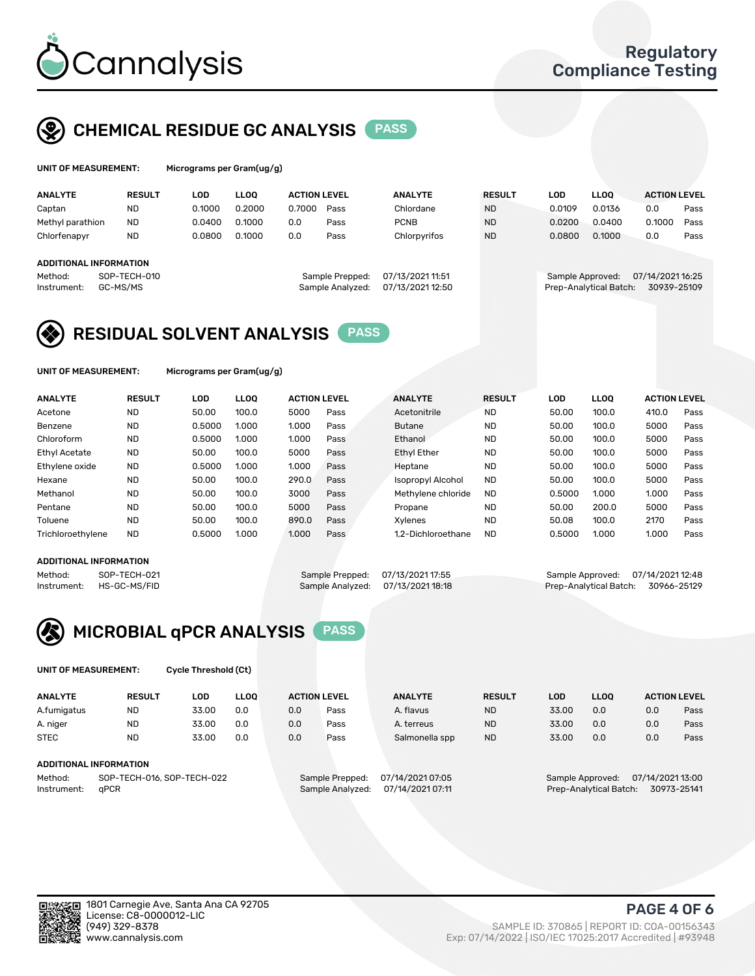

# CHEMICAL RESIDUE GC ANALYSIS PASS

| UNIT OF MEASUREMENT: | Micrograms |
|----------------------|------------|
|                      |            |

per Gram(ug/g)

| <b>ANALYTE</b>         | <b>RESULT</b>            | LOD    | <b>LLOO</b> | <b>ACTION LEVEL</b> |                                     | <b>ANALYTE</b>                       | <b>RESULT</b> | LOD              | <b>LLOO</b>            | <b>ACTION LEVEL</b>             |      |
|------------------------|--------------------------|--------|-------------|---------------------|-------------------------------------|--------------------------------------|---------------|------------------|------------------------|---------------------------------|------|
| Captan                 | <b>ND</b>                | 0.1000 | 0.2000      | 0.7000              | Pass                                | Chlordane                            | <b>ND</b>     | 0.0109           | 0.0136                 | 0.0                             | Pass |
| Methyl parathion       | <b>ND</b>                | 0.0400 | 0.1000      | 0.0                 | Pass                                | <b>PCNB</b>                          | <b>ND</b>     | 0.0200           | 0.0400                 | 0.1000                          | Pass |
| Chlorfenapyr           | <b>ND</b>                | 0.0800 | 0.1000      | 0.0                 | Pass                                | Chlorpyrifos                         | <b>ND</b>     | 0.0800           | 0.1000                 | 0.0                             | Pass |
|                        |                          |        |             |                     |                                     |                                      |               |                  |                        |                                 |      |
| ADDITIONAL INFORMATION |                          |        |             |                     |                                     |                                      |               |                  |                        |                                 |      |
| Method:<br>Instrument: | SOP-TECH-010<br>GC-MS/MS |        |             |                     | Sample Prepped:<br>Sample Analyzed: | 07/13/2021 11:51<br>07/13/2021 12:50 |               | Sample Approved: | Prep-Analytical Batch: | 07/14/2021 16:25<br>30939-25109 |      |

## RESIDUAL SOLVENT ANALYSIS PASS

UNIT OF MEASUREMENT: Micrograms per Gram(ug/g)

| <b>ANALYTE</b>       | <b>RESULT</b> | LOD    | <b>LLOO</b> | <b>ACTION LEVEL</b> |      | <b>ANALYTE</b>           | <b>RESULT</b> | LOD    | LLOO  | <b>ACTION LEVEL</b> |      |
|----------------------|---------------|--------|-------------|---------------------|------|--------------------------|---------------|--------|-------|---------------------|------|
| Acetone              | <b>ND</b>     | 50.00  | 100.0       | 5000                | Pass | Acetonitrile             | <b>ND</b>     | 50.00  | 100.0 | 410.0               | Pass |
| Benzene              | <b>ND</b>     | 0.5000 | 1.000       | 1.000               | Pass | <b>Butane</b>            | <b>ND</b>     | 50.00  | 100.0 | 5000                | Pass |
| Chloroform           | <b>ND</b>     | 0.5000 | 1.000       | 1.000               | Pass | Ethanol                  | <b>ND</b>     | 50.00  | 100.0 | 5000                | Pass |
| <b>Ethyl Acetate</b> | <b>ND</b>     | 50.00  | 100.0       | 5000                | Pass | <b>Ethyl Ether</b>       | <b>ND</b>     | 50.00  | 100.0 | 5000                | Pass |
| Ethylene oxide       | <b>ND</b>     | 0.5000 | 1.000       | 1.000               | Pass | Heptane                  | <b>ND</b>     | 50.00  | 100.0 | 5000                | Pass |
| Hexane               | <b>ND</b>     | 50.00  | 100.0       | 290.0               | Pass | <b>Isopropyl Alcohol</b> | <b>ND</b>     | 50.00  | 100.0 | 5000                | Pass |
| Methanol             | <b>ND</b>     | 50.00  | 100.0       | 3000                | Pass | Methylene chloride       | <b>ND</b>     | 0.5000 | 1.000 | 1.000               | Pass |
| Pentane              | <b>ND</b>     | 50.00  | 100.0       | 5000                | Pass | Propane                  | <b>ND</b>     | 50.00  | 200.0 | 5000                | Pass |
| Toluene              | <b>ND</b>     | 50.00  | 100.0       | 890.0               | Pass | Xvlenes                  | <b>ND</b>     | 50.08  | 100.0 | 2170                | Pass |
| Trichloroethylene    | <b>ND</b>     | 0.5000 | 1.000       | 1.000               | Pass | 1.2-Dichloroethane       | <b>ND</b>     | 0.5000 | 1.000 | 1.000               | Pass |

## ADDITIONAL INFORMATION

Method: SOP-TECH-021 Sample Prepped: 07/13/2021 17:55 Sample Approved: 07/14/2021 12:48<br>Instrument: HS-GC-MS/FID Sample Analyzed: 07/13/2021 18:18 Prep-Analytical Batch: 30966-25129 Prep-Analytical Batch: 30966-25129



UNIT OF MEASUREMENT: Cycle Threshold (Ct)

| <b>ANALYTE</b> | <b>RESULT</b>              | LOD   | <b>LLOO</b> | <b>ACTION LEVEL</b> |                 | <b>ANALYTE</b>   | <b>RESULT</b> | LOD   | <b>LLOO</b>      |                  | <b>ACTION LEVEL</b> |
|----------------|----------------------------|-------|-------------|---------------------|-----------------|------------------|---------------|-------|------------------|------------------|---------------------|
| A.fumigatus    | <b>ND</b>                  | 33.00 | 0.0         | 0.0                 | Pass            | A. flavus        | <b>ND</b>     | 33.00 | 0.0              | 0.0              | Pass                |
| A. niger       | <b>ND</b>                  | 33.00 | 0.0         | 0.0                 | Pass            | A. terreus       | <b>ND</b>     | 33.00 | 0.0              | 0.0              | Pass                |
| <b>STEC</b>    | <b>ND</b>                  | 33.00 | 0.0         | 0.0                 | Pass            | Salmonella spp   | <b>ND</b>     | 33.00 | 0.0              | 0.0              | Pass                |
|                | ADDITIONAL INFORMATION     |       |             |                     |                 |                  |               |       |                  |                  |                     |
| Method:        | SOP-TECH-016, SOP-TECH-022 |       |             |                     | Sample Prepped: | 07/14/2021 07:05 |               |       | Sample Approved: | 07/14/2021 13:00 |                     |

Instrument: qPCR Sample Analyzed: 07/14/2021 07:11 Prep-Analytical Batch: 30973-25141

PAGE 4 OF 6

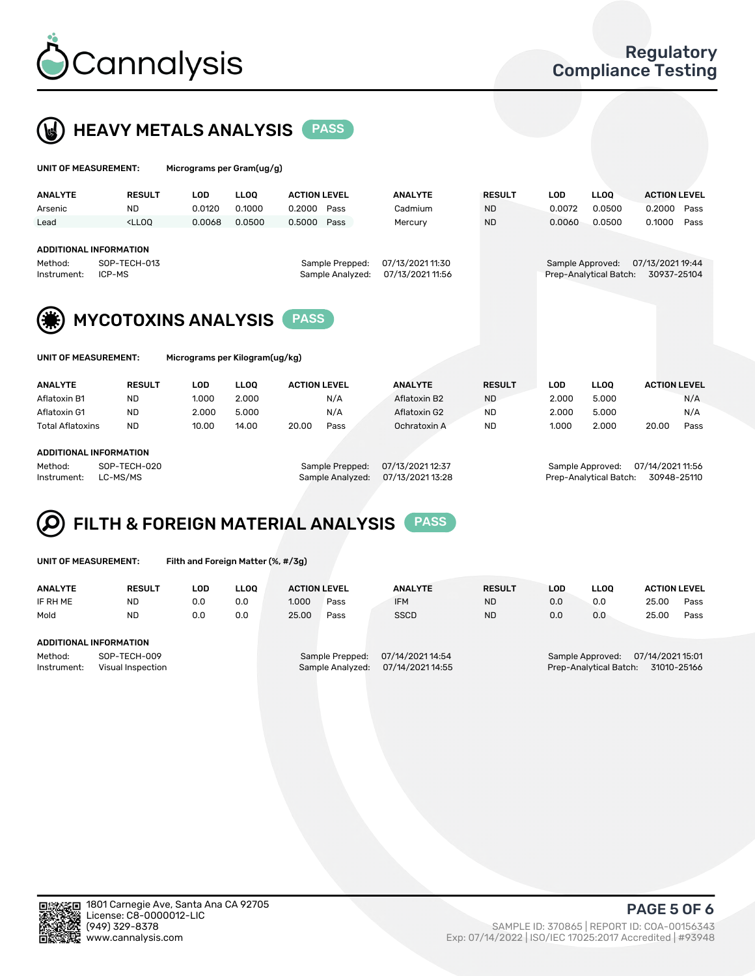



| UNIT OF MEASUREMENT:                                                        |                                                                                                     | Micrograms per Gram(ug/g) |             |                     |                  |                  |                  |            |                        |                     |      |  |  |  |
|-----------------------------------------------------------------------------|-----------------------------------------------------------------------------------------------------|---------------------------|-------------|---------------------|------------------|------------------|------------------|------------|------------------------|---------------------|------|--|--|--|
| <b>ANALYTE</b>                                                              | <b>RESULT</b>                                                                                       | <b>LOD</b>                | <b>LLOQ</b> | <b>ACTION LEVEL</b> |                  | <b>ANALYTE</b>   | <b>RESULT</b>    | <b>LOD</b> | <b>LLOQ</b>            | <b>ACTION LEVEL</b> |      |  |  |  |
| Arsenic                                                                     | <b>ND</b>                                                                                           | 0.0120                    | 0.1000      | 0.2000              | Pass             | Cadmium          | <b>ND</b>        | 0.0072     | 0.0500                 | 0.2000              | Pass |  |  |  |
| Lead                                                                        | $<$ LLOO                                                                                            | 0.0068                    | 0.0500      | 0.5000              | Pass             | Mercury          | <b>ND</b>        | 0.0060     | 0.0500                 | 0.1000              | Pass |  |  |  |
| <b>ADDITIONAL INFORMATION</b><br>SOP-TECH-013<br>Method:<br>Sample Prepped: |                                                                                                     |                           |             |                     | 07/13/2021 11:30 |                  | Sample Approved: |            | 07/13/2021 19:44       |                     |      |  |  |  |
| ICP-MS<br>Instrument:                                                       |                                                                                                     |                           |             |                     | Sample Analyzed: | 07/13/2021 11:56 |                  |            | Prep-Analytical Batch: | 30937-25104         |      |  |  |  |
|                                                                             | <b>MYCOTOXINS ANALYSIS</b><br><b>PASS</b><br>UNIT OF MEASUREMENT:<br>Micrograms per Kilogram(ug/kg) |                           |             |                     |                  |                  |                  |            |                        |                     |      |  |  |  |
|                                                                             |                                                                                                     |                           |             |                     |                  |                  |                  |            |                        |                     |      |  |  |  |
| <b>ANALYTE</b>                                                              | <b>RESULT</b>                                                                                       | LOD                       | <b>LLOO</b> | <b>ACTION LEVEL</b> |                  | <b>ANALYTE</b>   | <b>RESULT</b>    | <b>LOD</b> | <b>LLOQ</b>            | <b>ACTION LEVEL</b> |      |  |  |  |
| Aflatoxin B1                                                                | <b>ND</b>                                                                                           | 1.000                     | 2.000       |                     | N/A              | Aflatoxin B2     | <b>ND</b>        | 2.000      | 5.000                  |                     | N/A  |  |  |  |
| Aflatoxin G1                                                                | <b>ND</b>                                                                                           | 2.000                     | 5.000       |                     | N/A              | Aflatoxin G2     | <b>ND</b>        | 2.000      | 5.000                  |                     | N/A  |  |  |  |
| <b>Total Aflatoxins</b>                                                     | <b>ND</b>                                                                                           | 10.00                     | 14.00       | 20.00               | Pass             | Ochratoxin A     | <b>ND</b>        | 1.000      | 2.000                  | 20.00               | Pass |  |  |  |
|                                                                             |                                                                                                     |                           |             |                     |                  |                  |                  |            |                        |                     |      |  |  |  |

#### ADDITIONAL INFORMATION

Method: SOP-TECH-020 Sample Prepped: 07/13/2021 12:37 Sample Approved: 07/14/2021 11:56 Instrument: LC-MS/MS Sample Analyzed: 07/13/2021 13:28 Prep-Analytical Batch: 30948-25110



| UNIT OF MEASUREMENT: |  |
|----------------------|--|
|----------------------|--|

Filth and Foreign Matter (%, #/3g)

| <b>ANALYTE</b>                                              | <b>RESULT</b> | LOD | <b>LLOO</b> | <b>ACTION LEVEL</b> |                                     | <b>ANALYTE</b>                       | <b>RESULT</b> | LOD                                                                           | <b>LLOO</b> | <b>ACTION LEVEL</b> |      |
|-------------------------------------------------------------|---------------|-----|-------------|---------------------|-------------------------------------|--------------------------------------|---------------|-------------------------------------------------------------------------------|-------------|---------------------|------|
| IF RH ME                                                    | <b>ND</b>     | 0.0 | 0.0         | 1.000               | Pass                                | <b>IFM</b>                           | <b>ND</b>     | 0.0                                                                           | 0.0         | 25.00               | Pass |
| Mold                                                        | <b>ND</b>     | 0.0 | 0.0         | 25.00               | Pass                                | <b>SSCD</b>                          | <b>ND</b>     | 0.0                                                                           | 0.0         | 25.00               | Pass |
| ADDITIONAL INFORMATION                                      |               |     |             |                     |                                     |                                      |               |                                                                               |             |                     |      |
| SOP-TECH-009<br>Method:<br>Instrument:<br>Visual Inspection |               |     |             |                     | Sample Prepped:<br>Sample Analyzed: | 07/14/2021 14:54<br>07/14/2021 14:55 |               | 07/14/2021 15:01<br>Sample Approved:<br>Prep-Analytical Batch:<br>31010-25166 |             |                     |      |



PAGE 5 OF 6